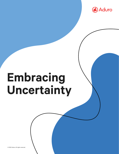

# **Embracing Uncertainty**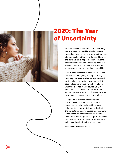

## **2020: The Year of Uncertainty**

Most of us have a hard time with uncertainty. In many ways, 2020 is like a bad movie with unresolved plotlines, a constantly shifting cast of antagonists and too many twists. Sitting in the dark, we have stopped caring about the characters and the plot and simply want the show to be over so we can exit the theater, turn on our phones and get back to real life.

Unfortunately, this is not a movie. This is real life. The plot isn't going to wrap up in any neat way, there are no clear antagonists and protagonists and the twists are not likely to stop. In fact, we probably won't even know when the plot has run its course. Only in hindsight will we be able to put bookends around the pandemic era. In the meantime, we have to get comfortable with uncertainty.

The good news is that uncertainty is not a new stressor, and we have decades of research at our disposal that illuminates solutions for our current situation. In short, the antidote for anxiety caused by uncertainty is **resilience**. And companies who wish to overcome crisis fatigue so that performance is not severely impacted must implement wellbeing solutions that cultivate resilience.

We have to be well to do well.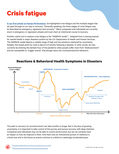# **Crisis fatigue**

**[In our first article on Human Performance](https://adurolife.com/blog/employee-well-being/recovering-from-crisis-fatigue/)**, we highlighted crisis fatigue and the multiple stages that we pass through on our way to recovery. "Generally speaking, the three stages of crisis fatigue may be described as emergency, regression and recovery." $^1$  $^1$  Many companies and individuals are currently stuck in emergency or regression phases and must chart an intentional course to recovery.

Another useful tool to analyze crisis fatigue is the "SAMSHA model."<sup>[2](https://www.samhsa.gov/dtac/recovering-disasters/phases-disaster)</sup> Adapted from a training manual for mental health in major disasters written by the U.S. Department of Health and Human Services, The SAMSHA model depicts a volatile range of high and low emotions catalyzed by uncertainty. Notably, the lowest point for most is about 6-9 months following a disaster. In other words, we may currently be entering the darkest hour of the pandemic when people suffer most from "disillusionment" and are susceptible to "trigger events" that plunge many into counterproductive behaviors.



#### **Reactions & Behavioral Health Symptoms in Disasters\* Reactions & Behavioral Health Symptoms in Disasters**

The path to recovery (or reconstruction) can take months or longer. But in the face of growing uncertainty, it is important to take control of the journey and pursue recovery with deep intention. Companies and individuals may not be able to control world events, but we can certainly have an impact on how we respond to them. And that's why an institutional pursuit of resilience is critical now and in the future as events continue to unfold at a seemingly accelerated pace.

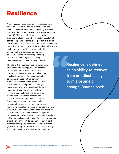### **Resilience**

"Resilience is defined as an ability to recover from or adjust easily to misfortune or change. Bounce back."<sup>[3](https://www.willistowerswatson.com/en-US/Insights/2020/03/how-to-build-resilience-during-times-of-uncertainty)</sup> The importance of resilience may be obvious to most in the current context, but what are we doing about it? If left only to individuals, it is unlikely that organizational resilience will take root at a scale that equips companies to achieve pre-pandemic levels of performance and customer satisfaction. Meanwhile, the more obvious cost is borne by those individuals who are unable to pursue resilience in a meaningful way due to the unprecedented number of stressors they are currently experiencing, from fear of becoming ill to balancing personal and family needs with work needs.

Therefore, it is incumbent upon organizations to cultivate a holistic approach to resilience focusing on mental health. To be clear, it's not enough to send an inspirational company email and suggest useful resources such as meditation apps. Rather, companies must view resilience as the key to recovery and implement a comprehensive change management plan to achieve breakthrough moments with employees, and without leaving anyone behind. Doing so requires a significant coordinated effort on the scale of any other major business initiative. For example, one would not set a goal to transform business operations or enter new markets without aligning the entire company around a vision, creating a strategy and plan, and providing each individual in the company with the people, processes and tools necessary to succeed. Why should cultivating resilience in the face of a once-in-a-century crisis be any different? To be blunt, if your current business strategy is prioritizing "normal" business goals over an organizational approach to well-being and mental health, you're missing the big picture.

Resilience is defined as an ability to recover from or adjust easily to misfortune or change. Bounce back.

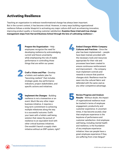#### **Activating Resilience**

Teaching an organization to embrace transformational change has always been important. But in the current context, it has become critical. However, in many ways building organizational resilience follows a similar blueprint to activating any major culture shift such as enhancing innovation, improving product quality or boosting customer satisfaction. **Examine these tried-and-true change management steps from Harvard Business School through the lens of cultivating resilience<sup>[4](https://online.hbs.edu/blog/post/change-management-process)</sup>:** 

> **Prepare the Organization** - Help employees recognize the need for developing resilience by acknowledging **1 4** current and future uncertainty while emphasizing the role of stable performance in controlling those things that are within our power.



**Craft a Vision and Plan** - Develop a holistic and realistic plan for "becoming resilient" that includes strategic goals, key performance indicators, project stakeholders, and specific actions and initiatives.

**Implement the Changes** - Building resilience is not a transaction or an event. Much like any other major business initiative, it requires a long term commitment to achieving multiple milestones along the way to a successful outcome. Outfit your team with a holistic well-being solution that raises the pursuit of resilience to an equivalent level with other critical business initiatives. One wouldn't launch a supply chain initiative without an ERP system, right? **3 5**

**Embed Changes Within Company Cultures and Practices** - Once the plan has been implemented -- people have been trained, provided with the necessary tools and resources appropriate for their role and processes have been created to ensure continuous reinforcement and improvement -- the company must implement controls and rewards to ensure that positive changes stick. Resilience must be sewn into the cultural fabric and defended with the same zeal as any other competitive advantage.

**Review Progress and Analyze Results** - Without doubt, the impact of organizational resilience must be tracked in terms of employee engagement, productivity and customer experience. In uncertain times, it has become acutely clear that employee experience is the keystone of performance and customer satisfaction. And employee well-being, including mental health and resilience, is the foundation of any employee experience initiative. How can people have a great employee experience if they are suffering from crisis fatigue?